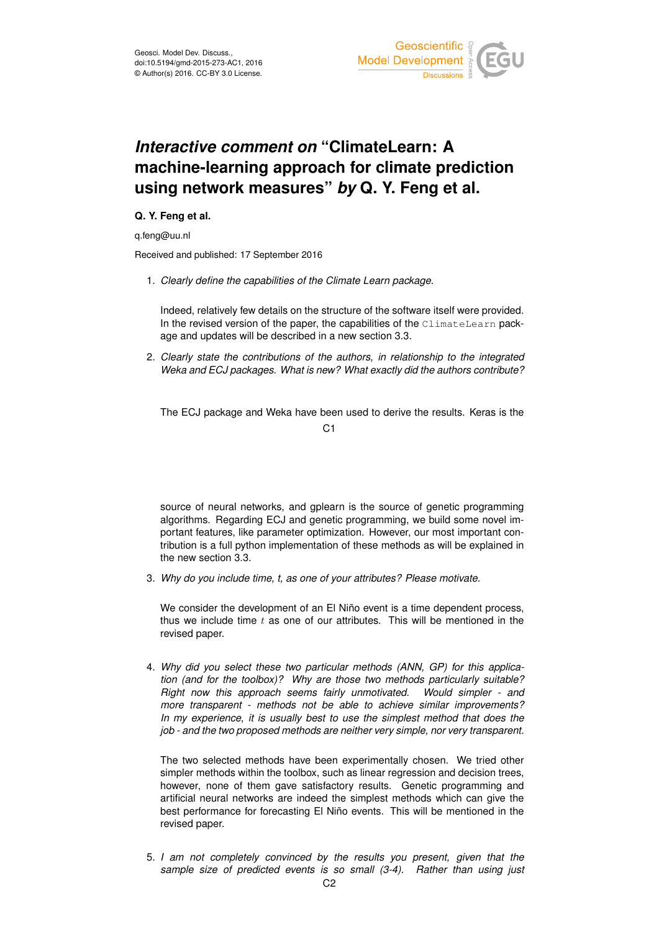

## *Interactive comment on* **"ClimateLearn: A machine-learning approach for climate prediction using network measures"** *by* **Q. Y. Feng et al.**

## **Q. Y. Feng et al.**

q.feng@uu.nl

Received and published: 17 September 2016

1. *Clearly define the capabilities of the Climate Learn package.*

Indeed, relatively few details on the structure of the software itself were provided. In the revised version of the paper, the capabilities of the  $\text{ClimateLearn}$  package and updates will be described in a new section 3.3.

2. *Clearly state the contributions of the authors, in relationship to the integrated Weka and ECJ packages. What is new? What exactly did the authors contribute?*

The ECJ package and Weka have been used to derive the results. Keras is the  $C<sub>1</sub>$ 

source of neural networks, and gplearn is the source of genetic programming algorithms. Regarding ECJ and genetic programming, we build some novel important features, like parameter optimization. However, our most important contribution is a full python implementation of these methods as will be explained in the new section 3.3.

3. *Why do you include time, t, as one of your attributes? Please motivate.*

We consider the development of an El Niño event is a time dependent process, thus we include time  $t$  as one of our attributes. This will be mentioned in the revised paper.

4. *Why did you select these two particular methods (ANN, GP) for this application (and for the toolbox)? Why are those two methods particularly suitable? Right now this approach seems fairly unmotivated. Would simpler - and more transparent - methods not be able to achieve similar improvements? In my experience, it is usually best to use the simplest method that does the job - and the two proposed methods are neither very simple, nor very transparent.*

The two selected methods have been experimentally chosen. We tried other simpler methods within the toolbox, such as linear regression and decision trees, however, none of them gave satisfactory results. Genetic programming and artificial neural networks are indeed the simplest methods which can give the best performance for forecasting El Niño events. This will be mentioned in the revised paper.

5. *I am not completely convinced by the results you present, given that the sample size of predicted events is so small (3-4). Rather than using just*